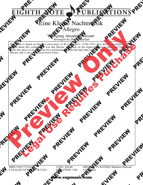## Eine Kleine Nachtmusik Allegro

*Arranged by David Marlatt* Wolfgang Amadeus Mozart

This work is based on the first movement of W.A. Mozart's (1756-1791) *Eine Kleine Nachtmusik*. The legend about this composition was that Mozart was stuck on the highway between Paris and Vienna, and wrote this piece in an afternoon for a performance at the Inn later that evening. It is instantly recognizable Mozart, and is one of his most loved works. **EIGHTH NOTE**<br>
Eine Kleine Nachtmusi<br>
Wolfgang Amadeus Mozart<br>
This work is based on the first movement of W.A. Mozart's (1756-1791) E<br>
This work is based on the first movement of W.A. Mozart's (1756-1791) E<br>
Work that the **EIGHTH NOTE PREVIEW PREVIEW PREVIEW PREVIEW PREVIEW PREVIEW PREVIEW PREVIEW PREVIEW PREVIEW PREVIEW PREVIEW PREVIEW PREVIEW PREVIEW PREVIEW TO THE PREVIEW PREVIEW PREVIEW PREVIEW PREVIEW PREVIEW PREVIEW PREVIEW PREVIEW PR** EIGHTH NOTE PUBLICATION<br>
Eine Kleine Nachtmusik<br>
Wolfgang<br>
Amadeus Mozart<br>
Eine Kleine Nachtmusik<br>
PREVIEW PREVIEW PREVIEW PREVIEW PREVIEW PREVIEW PREVIEW PREVIEW PREVIEW PREVIEW PREVIEW PREVIEW PREVIEW PREVIEW PREVIEW PRE EIGHTH NOTE PUBLICATI EIGHTH NOTE PUBLICATIONS<br>
EIGHTH NOTE PUBLICATIONS<br>
WORKSCHAFFENDER Wolfgang Applew Muzart<br>
PREVIEW PREVIEW PREVIEW PREVIEW PREVIEW PREVIEW PREVIEW PREVIEW PREVIEW PREVIEW PREVIEW PREVIEW PREVIEW PREVIEW PREVIEW PREVIEW PREVIEW PREVIEW PREVIEW PREVIEW PREVIEW PREVIEW PREVIEW PREVIEW PREVIE Eine Kleine Nachtmusik<br>
Wolland American Meart PREVIEW PREVIEW PREVIEW PREVIEW PREVIEW PREVIEW PREVIEW PREVIEW PREVIEW PREVIEW PREVIEW PREVIEW PREVIEW PREVIEW PREVIEW PREVIEW PREVIEW PREVIEW PREVIEW PREVIEW PREVIEW PREVIEW PREVIEW PREVIEW PREVIEW PREVIEW PREVIEW PREVIE Wolfgang Amadeus Mozart<br>
Non Star Court is based on the first movement of which Mariley<br>
The version about this composition was had Marine which the control of the first movement of the first movement of the first movement Legal Use Requires Purchase of the Legal Use Requires Purchase of the Legal Use Requires Purchase of the Legal Use Requires Purchase of the Legal Use Requires Purchase of the Legal Use Requires Purchase of the Legal Use Re

ISBN: 9781771570138 CATALOG NUMBER: TE13224 COST: \$20.00 DURATION: 5:00

DIFFICULTY RATING:Medium-Difficult 6 Trumpets PUTCH PREVIEW PREVIEW PREVIEW PREVIEW PREVIEW PREVIEW PREVIEW PREVIEW PREVIEW PREVIEW PREVIEW PREVIEW PREVIEW PREVIEW PREVIEW PREVIEW PREVIEW PREVIEW PREVIEW PREVIEW PREVIEW PREVIEW PREVIEW PREVIEW PREVIEW PREVIEW PREVIEW PREVIEW PREVIEW PREVIEW PREVIEW PREVIEW PREVIEW PREVIEW PREVIEW PREVIEW PREVIEW PREVIEW PREVIEW PREVIEW PREVIEW PREVIEW PREVIEW PREVIEW PREVIEW PREVIEW PREVIEW PREVIEW PREVIEW PREVIEW PREVIEW PREVIEW PREVIEW PREVIEW PREVIE PREVIEW PREVIEW PREVIEW PREVIEW PREVIEW PREVIEW PREVIEW PREVIEW PREVIEW PREVIEW PREVIEW PREVIEW PREVIEW PREVIEW PREVIEW PREVIEW PREVIEW PREVIEW PREVIEW PREVIEW PREVIEW PREVIEW PREVIEW PREVIEW PREVIEW PREVIEW PREVIEW PREVIE

## **www.enpmusic.com**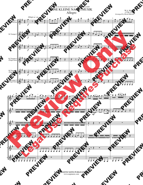## *for Kevin Eisensmith and the IUP Trumpet Ensemble* EINE KLEINE NACHTMUSIK Allegro





© 2013 **EIGHTH NOTE PUBLICATIONS** www.enpmusic.com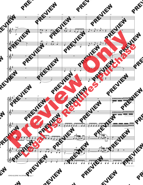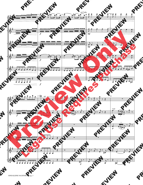

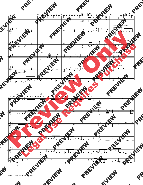

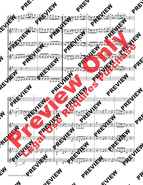

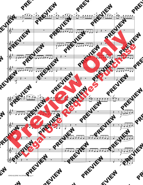

![](_page_6_Figure_1.jpeg)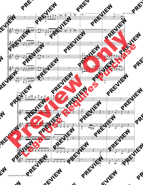![](_page_7_Figure_0.jpeg)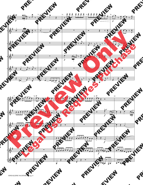![](_page_8_Figure_0.jpeg)

![](_page_8_Figure_1.jpeg)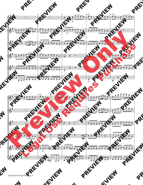![](_page_9_Figure_0.jpeg)

![](_page_9_Figure_1.jpeg)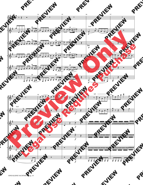![](_page_10_Figure_0.jpeg)

![](_page_10_Figure_1.jpeg)